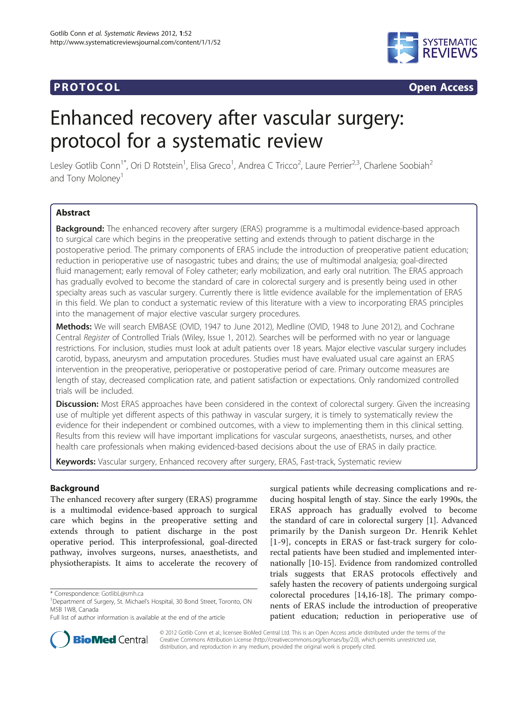## **PROTOCOL CONSUMING ACCESS CONSUMING ACCESS**



# Enhanced recovery after vascular surgery: protocol for a systematic review

Lesley Gotlib Conn<sup>1\*</sup>, Ori D Rotstein<sup>1</sup>, Elisa Greco<sup>1</sup>, Andrea C Tricco<sup>2</sup>, Laure Perrier<sup>2,3</sup>, Charlene Soobiah<sup>2</sup> and Tony Moloney<sup>1</sup>

## **Abstract**

**Background:** The enhanced recovery after surgery (ERAS) programme is a multimodal evidence-based approach to surgical care which begins in the preoperative setting and extends through to patient discharge in the postoperative period. The primary components of ERAS include the introduction of preoperative patient education; reduction in perioperative use of nasogastric tubes and drains; the use of multimodal analgesia; goal-directed fluid management; early removal of Foley catheter; early mobilization, and early oral nutrition. The ERAS approach has gradually evolved to become the standard of care in colorectal surgery and is presently being used in other specialty areas such as vascular surgery. Currently there is little evidence available for the implementation of ERAS in this field. We plan to conduct a systematic review of this literature with a view to incorporating ERAS principles into the management of major elective vascular surgery procedures.

Methods: We will search EMBASE (OVID, 1947 to June 2012), Medline (OVID, 1948 to June 2012), and Cochrane Central Register of Controlled Trials (Wiley, Issue 1, 2012). Searches will be performed with no year or language restrictions. For inclusion, studies must look at adult patients over 18 years. Major elective vascular surgery includes carotid, bypass, aneurysm and amputation procedures. Studies must have evaluated usual care against an ERAS intervention in the preoperative, perioperative or postoperative period of care. Primary outcome measures are length of stay, decreased complication rate, and patient satisfaction or expectations. Only randomized controlled trials will be included.

Discussion: Most ERAS approaches have been considered in the context of colorectal surgery. Given the increasing use of multiple yet different aspects of this pathway in vascular surgery, it is timely to systematically review the evidence for their independent or combined outcomes, with a view to implementing them in this clinical setting. Results from this review will have important implications for vascular surgeons, anaesthetists, nurses, and other health care professionals when making evidenced-based decisions about the use of ERAS in daily practice.

Keywords: Vascular surgery, Enhanced recovery after surgery, ERAS, Fast-track, Systematic review

## Background

The enhanced recovery after surgery (ERAS) programme is a multimodal evidence-based approach to surgical care which begins in the preoperative setting and extends through to patient discharge in the post operative period. This interprofessional, goal-directed pathway, involves surgeons, nurses, anaesthetists, and physiotherapists. It aims to accelerate the recovery of surgical patients while decreasing complications and reducing hospital length of stay. Since the early 1990s, the ERAS approach has gradually evolved to become the standard of care in colorectal surgery [\[1](#page-6-0)]. Advanced primarily by the Danish surgeon Dr. Henrik Kehlet [[1](#page-6-0)-[9](#page-6-0)], concepts in ERAS or fast-track surgery for colorectal patients have been studied and implemented internationally [\[10-15](#page-6-0)]. Evidence from randomized controlled trials suggests that ERAS protocols effectively and safely hasten the recovery of patients undergoing surgical colorectal procedures [[14,16-18](#page-6-0)]. The primary components of ERAS include the introduction of preoperative patient education; reduction in perioperative use of



© 2012 Gotlib Conn et al.; licensee BioMed Central Ltd. This is an Open Access article distributed under the terms of the Creative Commons Attribution License (<http://creativecommons.org/licenses/by/2.0>), which permits unrestricted use, distribution, and reproduction in any medium, provided the original work is properly cited.

<sup>\*</sup> Correspondence: [GotlibL@smh.ca](mailto:GotlibL@smh.ca) <sup>1</sup>

<sup>&</sup>lt;sup>1</sup>Department of Surgery, St. Michael's Hospital, 30 Bond Street, Toronto, ON M5B 1W8, Canada

Full list of author information is available at the end of the article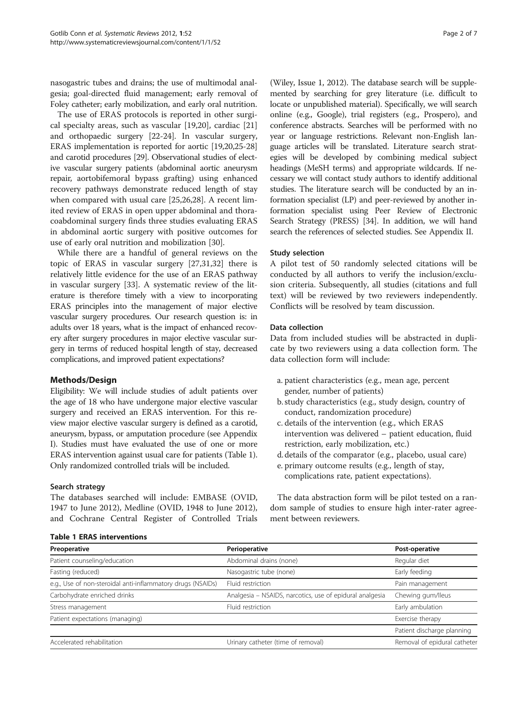nasogastric tubes and drains; the use of multimodal analgesia; goal-directed fluid management; early removal of Foley catheter; early mobilization, and early oral nutrition.

The use of ERAS protocols is reported in other surgical specialty areas, such as vascular [\[19,20\]](#page-6-0), cardiac [[21](#page-6-0)] and orthopaedic surgery [[22-24\]](#page-6-0). In vascular surgery, ERAS implementation is reported for aortic [\[19,20,25](#page-6-0)-[28](#page-6-0)] and carotid procedures [[29](#page-6-0)]. Observational studies of elective vascular surgery patients (abdominal aortic aneurysm repair, aortobifemoral bypass grafting) using enhanced recovery pathways demonstrate reduced length of stay when compared with usual care [\[25,26,28\]](#page-6-0). A recent limited review of ERAS in open upper abdominal and thoracoabdominal surgery finds three studies evaluating ERAS in abdominal aortic surgery with positive outcomes for use of early oral nutrition and mobilization [[30](#page-6-0)].

While there are a handful of general reviews on the topic of ERAS in vascular surgery [[27](#page-6-0),[31,32](#page-6-0)] there is relatively little evidence for the use of an ERAS pathway in vascular surgery [[33\]](#page-6-0). A systematic review of the literature is therefore timely with a view to incorporating ERAS principles into the management of major elective vascular surgery procedures. Our research question is: in adults over 18 years, what is the impact of enhanced recovery after surgery procedures in major elective vascular surgery in terms of reduced hospital length of stay, decreased complications, and improved patient expectations?

#### Methods/Design

Eligibility: We will include studies of adult patients over the age of 18 who have undergone major elective vascular surgery and received an ERAS intervention. For this review major elective vascular surgery is defined as a carotid, aneurysm, bypass, or amputation procedure (see [Appendix](#page-2-0) [I\)](#page-2-0). Studies must have evaluated the use of one or more ERAS intervention against usual care for patients (Table 1). Only randomized controlled trials will be included.

## Search strategy

The databases searched will include: EMBASE (OVID, 1947 to June 2012), Medline (OVID, 1948 to June 2012), and Cochrane Central Register of Controlled Trials

(Wiley, Issue 1, 2012). The database search will be supplemented by searching for grey literature (i.e. difficult to locate or unpublished material). Specifically, we will search online (e.g., Google), trial registers (e.g., Prospero), and conference abstracts. Searches will be performed with no year or language restrictions. Relevant non-English language articles will be translated. Literature search strategies will be developed by combining medical subject headings (MeSH terms) and appropriate wildcards. If necessary we will contact study authors to identify additional studies. The literature search will be conducted by an information specialist (LP) and peer-reviewed by another information specialist using Peer Review of Electronic Search Strategy (PRESS) [[34](#page-6-0)]. In addition, we will hand search the references of selected studies. See [Appendix II.](#page-3-0)

#### Study selection

A pilot test of 50 randomly selected citations will be conducted by all authors to verify the inclusion/exclusion criteria. Subsequently, all studies (citations and full text) will be reviewed by two reviewers independently. Conflicts will be resolved by team discussion.

#### Data collection

Data from included studies will be abstracted in duplicate by two reviewers using a data collection form. The data collection form will include:

- a. patient characteristics (e.g., mean age, percent gender, number of patients)
- b. study characteristics (e.g., study design, country of conduct, randomization procedure)
- c. details of the intervention (e.g., which ERAS intervention was delivered – patient education, fluid restriction, early mobilization, etc.)
- d. details of the comparator (e.g., placebo, usual care)
- e. primary outcome results (e.g., length of stay, complications rate, patient expectations).

The data abstraction form will be pilot tested on a random sample of studies to ensure high inter-rater agreement between reviewers.

## Table 1 ERAS interventions

| Preoperative                                                | Perioperative                                            | Post-operative               |
|-------------------------------------------------------------|----------------------------------------------------------|------------------------------|
| Patient counseling/education                                | Abdominal drains (none)                                  | Regular diet                 |
| Fasting (reduced)                                           | Nasogastric tube (none)                                  | Early feeding                |
| e.g., Use of non-steroidal anti-inflammatory drugs (NSAIDs) | Fluid restriction                                        | Pain management              |
| Carbohydrate enriched drinks                                | Analgesia - NSAIDS, narcotics, use of epidural analgesia | Chewing gum/lleus            |
| Stress management                                           | Fluid restriction                                        | Early ambulation             |
| Patient expectations (managing)                             |                                                          | Exercise therapy             |
|                                                             |                                                          | Patient discharge planning   |
| Accelerated rehabilitation                                  | Urinary catheter (time of removal)                       | Removal of epidural catheter |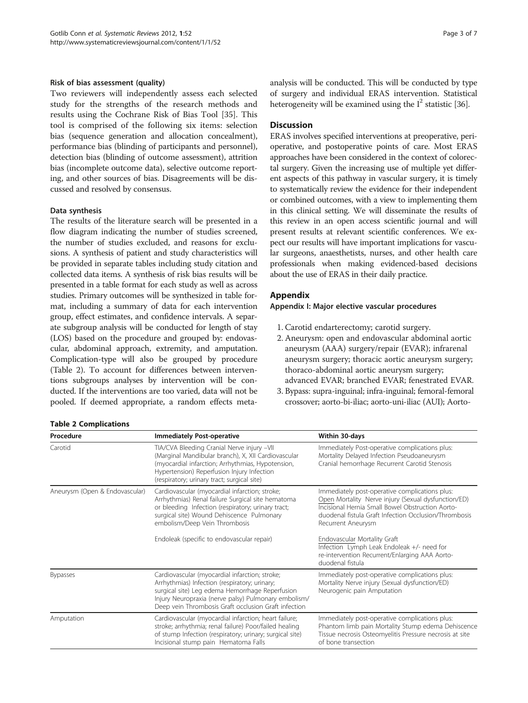## <span id="page-2-0"></span>Risk of bias assessment (quality)

Two reviewers will independently assess each selected study for the strengths of the research methods and results using the Cochrane Risk of Bias Tool [\[35\]](#page-6-0). This tool is comprised of the following six items: selection bias (sequence generation and allocation concealment), performance bias (blinding of participants and personnel), detection bias (blinding of outcome assessment), attrition bias (incomplete outcome data), selective outcome reporting, and other sources of bias. Disagreements will be discussed and resolved by consensus.

## Data synthesis

The results of the literature search will be presented in a flow diagram indicating the number of studies screened, the number of studies excluded, and reasons for exclusions. A synthesis of patient and study characteristics will be provided in separate tables including study citation and collected data items. A synthesis of risk bias results will be presented in a table format for each study as well as across studies. Primary outcomes will be synthesized in table format, including a summary of data for each intervention group, effect estimates, and confidence intervals. A separate subgroup analysis will be conducted for length of stay (LOS) based on the procedure and grouped by: endovascular, abdominal approach, extremity, and amputation. Complication-type will also be grouped by procedure (Table 2). To account for differences between interventions subgroups analyses by intervention will be conducted. If the interventions are too varied, data will not be pooled. If deemed appropriate, a random effects meta-

## Table 2 Complications

analysis will be conducted. This will be conducted by type of surgery and individual ERAS intervention. Statistical heterogeneity will be examined using the  $I^2$  statistic [[36](#page-6-0)].

## **Discussion**

ERAS involves specified interventions at preoperative, perioperative, and postoperative points of care. Most ERAS approaches have been considered in the context of colorectal surgery. Given the increasing use of multiple yet different aspects of this pathway in vascular surgery, it is timely to systematically review the evidence for their independent or combined outcomes, with a view to implementing them in this clinical setting. We will disseminate the results of this review in an open access scientific journal and will present results at relevant scientific conferences. We expect our results will have important implications for vascular surgeons, anaesthetists, nurses, and other health care professionals when making evidenced-based decisions about the use of ERAS in their daily practice.

## Appendix

#### Appendix I: Major elective vascular procedures

- 1. Carotid endarterectomy; carotid surgery.
- 2. Aneurysm: open and endovascular abdominal aortic aneurysm (AAA) surgery/repair (EVAR); infrarenal aneurysm surgery; thoracic aortic aneurysm surgery; thoraco-abdominal aortic aneurysm surgery; advanced EVAR; branched EVAR; fenestrated EVAR.
- 3. Bypass: supra-inguinal; infra-inguinal; femoral-femoral crossover; aorto-bi-iliac; aorto-uni-iliac (AUI); Aorto-

| Procedure                      | <b>Immediately Post-operative</b>                                                                                                                                                                                                                                  | Within 30-days                                                                                                                                                                                                                           |
|--------------------------------|--------------------------------------------------------------------------------------------------------------------------------------------------------------------------------------------------------------------------------------------------------------------|------------------------------------------------------------------------------------------------------------------------------------------------------------------------------------------------------------------------------------------|
| Carotid                        | TIA/CVA Bleeding Cranial Nerve injury -VII<br>(Marginal Mandibular branch), X, XII Cardiovascular<br>(myocardial infarction; Arrhythmias, Hypotension,<br>Hypertension) Reperfusion Injury Infection<br>(respiratory; urinary tract; surgical site)                | Immediately Post-operative complications plus:<br>Mortality Delayed Infection Pseudoaneurysm<br>Cranial hemorrhage Recurrent Carotid Stenosis                                                                                            |
| Aneurysm (Open & Endovascular) | Cardiovascular (myocardial infarction; stroke;<br>Arrhythmias) Renal failure Surgical site hematoma<br>or bleeding Infection (respiratory; urinary tract;<br>surgical site) Wound Dehiscence Pulmonary<br>embolism/Deep Vein Thrombosis                            | Immediately post-operative complications plus:<br>Open Mortality Nerve injury (Sexual dysfunction/ED)<br>Incisional Hernia Small Bowel Obstruction Aorto-<br>duodenal fistula Graft Infection Occlusion/Thrombosis<br>Recurrent Aneurysm |
|                                | Endoleak (specific to endovascular repair)                                                                                                                                                                                                                         | Endovascular Mortality Graft<br>Infection Lymph Leak Endoleak +/- need for<br>re-intervention Recurrent/Enlarging AAA Aorto-<br>duodenal fistula                                                                                         |
| <b>Bypasses</b>                | Cardiovascular (myocardial infarction; stroke;<br>Arrhythmias) Infection (respiratory; urinary;<br>surgical site) Leg edema Hemorrhage Reperfusion<br>Injury Neuropraxia (nerve palsy) Pulmonary embolism/<br>Deep vein Thrombosis Graft occlusion Graft infection | Immediately post-operative complications plus:<br>Mortality Nerve injury (Sexual dysfunction/ED)<br>Neurogenic pain Amputation                                                                                                           |
| Amputation                     | Cardiovascular (myocardial infarction; heart failure;<br>stroke; arrhythmia; renal failure) Poor/failed healing<br>of stump Infection (respiratory; urinary; surgical site)<br>Incisional stump pain Hematoma Falls                                                | Immediately post-operative complications plus:<br>Phantom limb pain Mortality Stump edema Dehiscence<br>Tissue necrosis Osteomyelitis Pressure necrosis at site<br>of bone transection                                                   |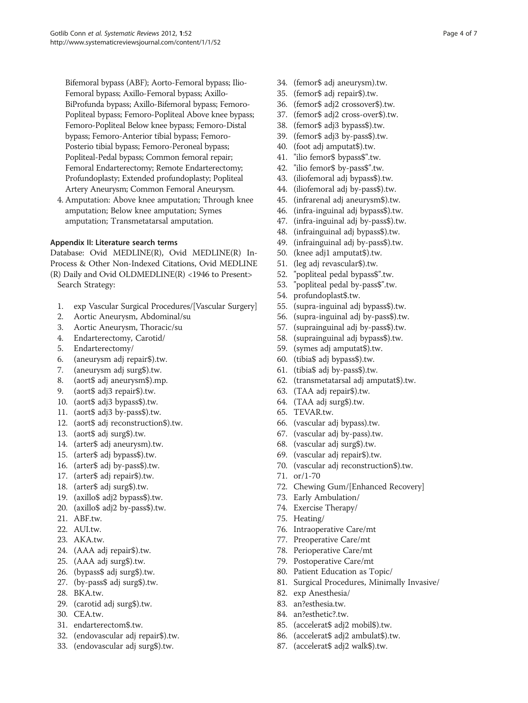<span id="page-3-0"></span>Bifemoral bypass (ABF); Aorto-Femoral bypass; Ilio-Femoral bypass; Axillo-Femoral bypass; Axillo-BiProfunda bypass; Axillo-Bifemoral bypass; Femoro-Popliteal bypass; Femoro-Popliteal Above knee bypass; Femoro-Popliteal Below knee bypass; Femoro-Distal bypass; Femoro-Anterior tibial bypass; Femoro-Posterio tibial bypass; Femoro-Peroneal bypass; Popliteal-Pedal bypass; Common femoral repair; Femoral Endarterectomy; Remote Endarterectomy; Profundoplasty; Extended profundoplasty; Popliteal Artery Aneurysm; Common Femoral Aneurysm.

4. Amputation: Above knee amputation; Through knee amputation; Below knee amputation; Symes amputation; Transmetatarsal amputation.

## Appendix II: Literature search terms

Database: Ovid MEDLINE(R), Ovid MEDLINE(R) In-Process & Other Non-Indexed Citations, Ovid MEDLINE (R) Daily and Ovid OLDMEDLINE(R) <1946 to Present> Search Strategy:

- 1. exp Vascular Surgical Procedures/[Vascular Surgery]
- 2. Aortic Aneurysm, Abdominal/su
- 3. Aortic Aneurysm, Thoracic/su
- 4. Endarterectomy, Carotid/
- 5. Endarterectomy/
- 6. (aneurysm adj repair\$).tw.
- 7. (aneurysm adj surg\$).tw.
- 8. (aort\$ adj aneurysm\$).mp.
- 9. (aort\$ adj3 repair\$).tw.
- 10. (aort\$ adj3 bypass\$).tw.
- 11. (aort\$ adj3 by-pass\$).tw.
- 12. (aort\$ adj reconstruction\$).tw.
- 13. (aort\$ adj surg\$).tw.
- 14. (arter\$ adj aneurysm).tw.
- 15. (arter\$ adj bypass\$).tw.
- 16. (arter\$ adj by-pass\$).tw.
- 17. (arter\$ adj repair\$).tw.
- 18. (arter\$ adj surg\$).tw.
- 19. (axillo\$ adj2 bypass\$).tw.
- 20. (axillo\$ adj2 by-pass\$).tw.
- 21. ABF.tw.
- 22. AUI.tw.
- 23. AKA.tw.
- 24. (AAA adj repair\$).tw.
- 25. (AAA adj surg\$).tw.
- 26. (bypass\$ adj surg\$).tw.
- 27. (by-pass\$ adj surg\$).tw.
- 28. BKA.tw.
- 29. (carotid adj surg\$).tw.
- 30. CEA.tw.
- 31. endarterectom\$.tw.
- 32. (endovascular adj repair\$).tw.
- 33. (endovascular adj surg\$).tw.
- 34. (femor\$ adj aneurysm).tw.
- 35. (femor\$ adj repair\$).tw.
- 36. (femor\$ adj2 crossover\$).tw.
- 37. (femor\$ adj2 cross-over\$).tw.
- 38. (femor\$ adj3 bypass\$).tw.
- 39. (femor\$ adj3 by-pass\$).tw.
- 40. (foot adj amputat\$).tw.
- 41. "ilio femor\$ bypass\$".tw.
- 42. "ilio femor\$ by-pass\$".tw.
- 43. (iliofemoral adj bypass\$).tw.
- 44. (iliofemoral adj by-pass\$).tw.
- 45. (infrarenal adj aneurysm\$).tw.
- 46. (infra-inguinal adj bypass\$).tw.
- 47. (infra-inguinal adj by-pass\$).tw.
- 48. (infrainguinal adj bypass\$).tw.
- 49. (infrainguinal adj by-pass\$).tw.
- 50. (knee adj1 amputat\$).tw.
- 51. (leg adj revascular\$).tw.
- 52. "popliteal pedal bypass\$".tw.
- 53. "popliteal pedal by-pass\$".tw.
- 54. profundoplast\$.tw.
- 55. (supra-inguinal adj bypass\$).tw.
- 56. (supra-inguinal adj by-pass\$).tw.
- 57. (suprainguinal adj by-pass\$).tw.
- 58. (suprainguinal adj bypass\$).tw.
- 59. (symes adj amputat\$).tw.
- 60. (tibia\$ adj bypass\$).tw.
- 61. (tibia\$ adj by-pass\$).tw.
- 62. (transmetatarsal adj amputat\$).tw.
- 63. (TAA adj repair\$).tw.
- 64. (TAA adj surg\$).tw.
- 65. TEVAR.tw.
- 66. (vascular adj bypass).tw.
- 67. (vascular adj by-pass).tw.
- 68. (vascular adj surg\$).tw.
- 69. (vascular adj repair\$).tw.
- 70. (vascular adj reconstruction\$).tw.
- 71. or/1-70
- 72. Chewing Gum/[Enhanced Recovery]
- 73. Early Ambulation/
- 74. Exercise Therapy/
- 75. Heating/
- 76. Intraoperative Care/mt
- 77. Preoperative Care/mt
- 78. Perioperative Care/mt
- 79. Postoperative Care/mt
- 80. Patient Education as Topic/
- 81. Surgical Procedures, Minimally Invasive/
- 82. exp Anesthesia/
- 83. an?esthesia.tw.
- 84. an?esthetic?.tw.
- 85. (accelerat\$ adj2 mobil\$).tw.
- 86. (accelerat\$ adj2 ambulat\$).tw.
- 87. (accelerat\$ adj2 walk\$).tw.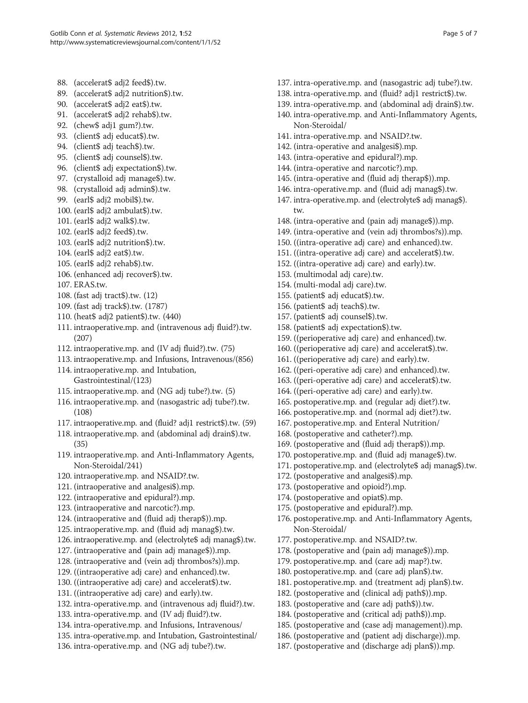- 88. (accelerat\$ adj2 feed\$).tw.
- 89. (accelerat\$ adj2 nutrition\$).tw.
- 90. (accelerat\$ adj2 eat\$).tw.
- 91. (accelerat\$ adj2 rehab\$).tw.
- 92. (chew\$ adj1 gum?).tw.
- 93. (client\$ adj educat\$).tw.
- 94. (client\$ adj teach\$).tw.
- 95. (client\$ adj counsel\$).tw.
- 96. (client\$ adj expectation\$).tw.
- 97. (crystalloid adj manage\$).tw.
- 98. (crystalloid adj admin\$).tw.
- 99. (earl\$ adj2 mobil\$).tw.
- 100. (earl\$ adj2 ambulat\$).tw.
- 101. (earl\$ adj2 walk\$).tw.
- 102. (earl\$ adj2 feed\$).tw.
- 103. (earl\$ adj2 nutrition\$).tw.
- 104. (earl\$ adj2 eat\$).tw.
- 105. (earl\$ adj2 rehab\$).tw.
- 106. (enhanced adj recover\$).tw.
- 107. ERAS.tw.
- 108. (fast adj tract\$).tw. (12)
- 109. (fast adj track\$).tw. (1787)
- 110. (heat\$ adj2 patient\$).tw. (440)
- 111. intraoperative.mp. and (intravenous adj fluid?).tw. (207)
- 112. intraoperative.mp. and (IV adj fluid?).tw. (75)
- 113. intraoperative.mp. and Infusions, Intravenous/(856)
- 114. intraoperative.mp. and Intubation, Gastrointestinal/(123)
- 115. intraoperative.mp. and (NG adj tube?).tw. (5)
- 116. intraoperative.mp. and (nasogastric adj tube?).tw. (108)
- 117. intraoperative.mp. and (fluid? adj1 restrict\$).tw. (59)
- 118. intraoperative.mp. and (abdominal adj drain\$).tw. (35)
- 119. intraoperative.mp. and Anti-Inflammatory Agents, Non-Steroidal/241)
- 120. intraoperative.mp. and NSAID?.tw.
- 121. (intraoperative and analgesi\$).mp.
- 122. (intraoperative and epidural?).mp.
- 123. (intraoperative and narcotic?).mp.
- 124. (intraoperative and (fluid adj therap\$)).mp.
- 125. intraoperative.mp. and (fluid adj manag\$).tw.
- 126. intraoperative.mp. and (electrolyte\$ adj manag\$).tw.
- 127. (intraoperative and (pain adj manage\$)).mp.
- 128. (intraoperative and (vein adj thrombos?s)).mp.
- 129. ((intraoperative adj care) and enhanced).tw.
- 130. ((intraoperative adj care) and accelerat\$).tw.
- 131. ((intraoperative adj care) and early).tw.
- 132. intra-operative.mp. and (intravenous adj fluid?).tw.
- 133. intra-operative.mp. and (IV adj fluid?).tw.
- 134. intra-operative.mp. and Infusions, Intravenous/
- 135. intra-operative.mp. and Intubation, Gastrointestinal/
- 136. intra-operative.mp. and (NG adj tube?).tw.
- 137. intra-operative.mp. and (nasogastric adj tube?).tw.
- 138. intra-operative.mp. and (fluid? adj1 restrict\$).tw.
- 139. intra-operative.mp. and (abdominal adj drain\$).tw.
- 140. intra-operative.mp. and Anti-Inflammatory Agents, Non-Steroidal/
- 141. intra-operative.mp. and NSAID?.tw.
- 142. (intra-operative and analgesi\$).mp.
- 143. (intra-operative and epidural?).mp.
- 144. (intra-operative and narcotic?).mp.
- 145. (intra-operative and (fluid adj therap\$)).mp.
- 146. intra-operative.mp. and (fluid adj manag\$).tw.
- 147. intra-operative.mp. and (electrolyte\$ adj manag\$). tw.
- 148. (intra-operative and (pain adj manage\$)).mp.
- 149. (intra-operative and (vein adj thrombos?s)).mp.
- 150. ((intra-operative adj care) and enhanced).tw.
- 151. ((intra-operative adj care) and accelerat\$).tw.
- 152. ((intra-operative adj care) and early).tw.
- 153. (multimodal adj care).tw.
- 154. (multi-modal adj care).tw.
- 155. (patient\$ adj educat\$).tw.
- 156. (patient\$ adj teach\$).tw.
- 157. (patient\$ adj counsel\$).tw.
- 158. (patient\$ adj expectation\$).tw.
- 159. ((perioperative adj care) and enhanced).tw.
- 160. ((perioperative adj care) and accelerat\$).tw.
- 161. ((perioperative adj care) and early).tw.
- 162. ((peri-operative adj care) and enhanced).tw.
- 163. ((peri-operative adj care) and accelerat\$).tw.
- 164. ((peri-operative adj care) and early).tw.
- 165. postoperative.mp. and (regular adj diet?).tw.
- 166. postoperative.mp. and (normal adj diet?).tw.
- 167. postoperative.mp. and Enteral Nutrition/
- 168. (postoperative and catheter?).mp.
- 169. (postoperative and (fluid adj therap\$)).mp.
- 170. postoperative.mp. and (fluid adj manage\$).tw.
- 171. postoperative.mp. and (electrolyte\$ adj manag\$).tw.
- 172. (postoperative and analgesi\$).mp.
- 173. (postoperative and opioid?).mp.
- 174. (postoperative and opiat\$).mp.
- 175. (postoperative and epidural?).mp.
- 176. postoperative.mp. and Anti-Inflammatory Agents, Non-Steroidal/
- 177. postoperative.mp. and NSAID?.tw.
- 178. (postoperative and (pain adj manage\$)).mp.
- 179. postoperative.mp. and (care adj map?).tw.
- 180. postoperative.mp. and (care adj plan\$).tw.
- 181. postoperative.mp. and (treatment adj plan\$).tw.
- 182. (postoperative and (clinical adj path\$)).mp.
- 183. (postoperative and (care adj path\$)).tw.
- 184. (postoperative and (critical adj path\$)).mp.
- 185. (postoperative and (case adj management)).mp.
- 186. (postoperative and (patient adj discharge)).mp. 187. (postoperative and (discharge adj plan\$)).mp.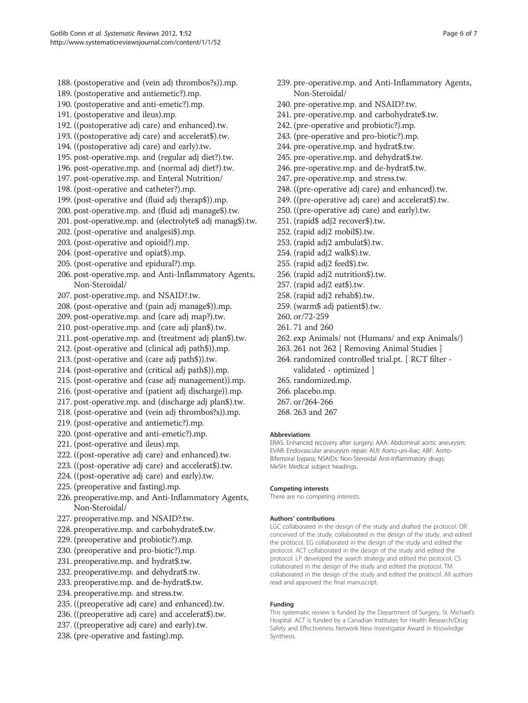- 188. (postoperative and (vein adj thrombos?s)).mp.
- 189. (postoperative and antiemetic?).mp.
- 190. (postoperative and anti-emetic?).mp.
- 191. (postoperative and ileus).mp.
- 192. ((postoperative adj care) and enhanced).tw.
- 193. ((postoperative adj care) and accelerat\$).tw.
- 194. ((postoperative adj care) and early).tw.
- 195. post-operative.mp. and (regular adj diet?).tw.
- 196. post-operative.mp. and (normal adj diet?).tw.
- 197. post-operative.mp. and Enteral Nutrition/
- 198. (post-operative and catheter?).mp.
- 199. (post-operative and (fluid adj therap\$)).mp.
- 200. post-operative.mp. and (fluid adj manage\$).tw.
- 201. post-operative.mp. and (electrolyte\$ adj manag\$).tw.
- 202. (post-operative and analgesi\$).mp.
- 203. (post-operative and opioid?).mp.
- 204. (post-operative and opiat\$).mp.
- 205. (post-operative and epidural?).mp.
- 206. post-operative.mp. and Anti-Inflammatory Agents, Non-Steroidal/
- 207. post-operative.mp. and NSAID?.tw.
- 208. (post-operative and (pain adj manage\$)).mp.
- 209. post-operative.mp. and (care adj map?).tw.
- 210. post-operative.mp. and (care adj plan\$).tw.
- 211. post-operative.mp. and (treatment adj plan\$).tw.
- 212. (post-operative and (clinical adj path\$)).mp.
- 213. (post-operative and (care adj path\$)).tw.
- 214. (post-operative and (critical adj path\$)).mp.
- 215. (post-operative and (case adj management)).mp.
- 216. (post-operative and (patient adj discharge)).mp.
- 217. post-operative.mp. and (discharge adj plan\$).tw.
- 218. (post-operative and (vein adj thrombos?s)).mp.
- 219. (post-operative and antiemetic?).mp.
- 220. (post-operative and anti-emetic?).mp.
- 221. (post-operative and ileus).mp.
- 222. ((post-operative adj care) and enhanced).tw.
- 223. ((post-operative adj care) and accelerat\$).tw.
- 224. ((post-operative adj care) and early).tw.
- 225. (preoperative and fasting).mp.
- 226. preoperative.mp. and Anti-Inflammatory Agents, Non-Steroidal/
- 227. preoperative.mp. and NSAID?.tw.
- 228. preoperative.mp. and carbohydrate\$.tw.
- 229. (preoperative and probiotic?).mp.
- 230. (preoperative and pro-biotic?).mp.
- 231. preoperative.mp. and hydrat\$.tw.
- 232. preoperative.mp. and dehydrat\$.tw.
- 233. preoperative.mp. and de-hydrat\$.tw.
- 234. preoperative.mp. and stress.tw.
- 235. ((preoperative adj care) and enhanced).tw.
- 236. ((preoperative adj care) and accelerat\$).tw.
- 237. ((preoperative adj care) and early).tw.
- 238. (pre-operative and fasting).mp.
- 240. pre-operative.mp. and NSAID?.tw.
- 241. pre-operative.mp. and carbohydrate\$.tw.
- 242. (pre-operative and probiotic?).mp.
- 243. (pre-operative and pro-biotic?).mp.
- 244. pre-operative.mp. and hydrat\$.tw.
- 245. pre-operative.mp. and dehydrat\$.tw.
- 246. pre-operative.mp. and de-hydrat\$.tw.
- 247. pre-operative.mp. and stress.tw.
- 248. ((pre-operative adj care) and enhanced).tw.
- 249. ((pre-operative adj care) and accelerat\$).tw.
- 250. ((pre-operative adj care) and early).tw.
- 251. (rapid\$ adj2 recover\$).tw.
- 252. (rapid adj2 mobil\$).tw.
- 253. (rapid adj2 ambulat\$).tw.
- 254. (rapid adj2 walk\$).tw.
- 255. (rapid adj2 feed\$).tw.
- 256. (rapid adj2 nutrition\$).tw.
- 257. (rapid adj2 eat\$).tw.
- 258. (rapid adj2 rehab\$).tw.
- 259. (warm\$ adj patient\$).tw.
- 260. or/72-259
- 261. 71 and 260
- 262. exp Animals/ not (Humans/ and exp Animals/)
- 263. 261 not 262 [ Removing Animal Studies ]
- 264. randomized controlled trial.pt. [ RCT filter validated - optimized ]
- 265. randomized.mp.
- 266. placebo.mp.
- 267. or/264-266
- 268. 263 and 267

#### **Abbreviations**

ERAS: Enhanced recovery after surgery; AAA: Abdominal aortic aneurysm; EVAR: Endovascular aneurysm repair; AUI: Aorto-uni-iliac; ABF: Aorto-Bifemoral bypass; NSAIDs: Non-Steroidal Anti-Inflammatory drugs; MeSH: Medical subject headings.

#### Competing interests

There are no competing interests.

#### Authors' contributions

LGC collaborated in the design of the study and drafted the protocol. OR conceived of the study, collaborated in the design of the study, and edited the protocol. EG collaborated in the design of the study and edited the protocol. ACT collaborated in the design of the study and edited the protocol. LP developed the search strategy and edited the protocol. CS collaborated in the design of the study and edited the protocol. TM collaborated in the design of the study and edited the protocol. All authors read and approved the final manuscript.

#### Funding

This systematic review is funded by the Department of Surgery, St. Michael's Hospital. ACT is funded by a Canadian Institutes for Health Research/Drug Safety and Effectiveness Network New Investigator Award in Knowledge Synthesis.